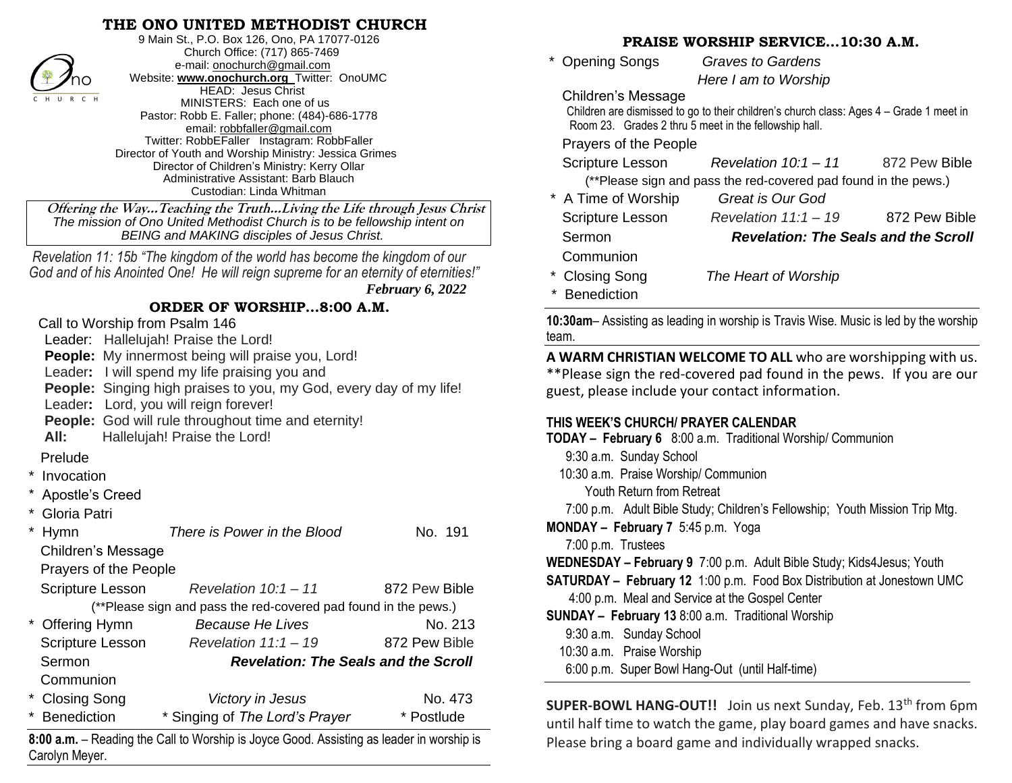# **THE ONO UNITED METHODIST CHURCH**



9 Main St., P.O. Box 126, Ono, PA 17077-0126 Church Office: (717) 865-7469 e-mail[: onochurch@gmail.com](mailto:onochurch@gmail.com) Website: **[www.onochurch.org](http://www.onochurch.org/)** Twitter: OnoUMC HEAD: Jesus Christ MINISTERS: Each one of us Pastor: Robb E. Faller; phone: (484)-686-1778 email: [robbfaller@gmail.com](mailto:robbfaller@gmail.com) Twitter: RobbEFaller Instagram: RobbFaller Director of Youth and Worship Ministry: Jessica Grimes Director of Children's Ministry: Kerry Ollar Administrative Assistant: Barb Blauch Custodian: Linda Whitman

 **Offering the Way…Teaching the Truth…Living the Life through Jesus Christ** *The mission of Ono United Methodist Church is to be fellowship intent on BEING and MAKING disciples of Jesus Christ.* 

 *Revelation 11: 15b "The kingdom of the world has become the kingdom of our God and of his Anointed One! He will reign supreme for an eternity of eternities!"*

## **ORDER OF WORSHIP…8:00 A.M.**

Call to Worship from Psalm 146

Leader: Hallelujah! Praise the Lord!

**People:** My innermost being will praise you, Lord!

Leader**:** I will spend my life praising you and

**People:** Singing high praises to you, my God, every day of my life!

Leader**:** Lord, you will reign forever!

**People:** God will rule throughout time and eternity!

**All:** Hallelujah! Praise the Lord!

Prelude

- **Invocation**
- Apostle's Creed
- Gloria Patri

|                       | Hymn                                                                                                   | There is Power in the Blood                 | No. 191       |  |  |  |  |  |  |
|-----------------------|--------------------------------------------------------------------------------------------------------|---------------------------------------------|---------------|--|--|--|--|--|--|
| Children's Message    |                                                                                                        |                                             |               |  |  |  |  |  |  |
| Prayers of the People |                                                                                                        |                                             |               |  |  |  |  |  |  |
|                       | <b>Scripture Lesson</b>                                                                                | Revelation $10:1 - 11$                      | 872 Pew Bible |  |  |  |  |  |  |
|                       | (**Please sign and pass the red-covered pad found in the pews.)                                        |                                             |               |  |  |  |  |  |  |
|                       | * Offering Hymn                                                                                        | <b>Because He Lives</b>                     | No. 213       |  |  |  |  |  |  |
|                       | <b>Scripture Lesson</b>                                                                                | Revelation $11:1 - 19$                      | 872 Pew Bible |  |  |  |  |  |  |
|                       | Sermon                                                                                                 | <b>Revelation: The Seals and the Scroll</b> |               |  |  |  |  |  |  |
|                       | Communion                                                                                              |                                             |               |  |  |  |  |  |  |
|                       | * Closing Song                                                                                         | Victory in Jesus                            | No. 473       |  |  |  |  |  |  |
|                       | * Benediction                                                                                          | * Singing of The Lord's Prayer              | * Postlude    |  |  |  |  |  |  |
|                       | $8.00 \text{ s}$ m $\sim$ Reading the Call to Worshin is Joyce Good. Assisting as leader in worshin is |                                             |               |  |  |  |  |  |  |

**8:00 a.m.** – Reading the Call to Worship is Joyce Good. Assisting as leader in worship is Carolyn Meyer.

## **PRAISE WORSHIP SERVICE…10:30 A.M.**

| 1991111 0219                                                                   |                                                                                         |               |  |  |  |  |  |                                       |               |
|--------------------------------------------------------------------------------|-----------------------------------------------------------------------------------------|---------------|--|--|--|--|--|---------------------------------------|---------------|
| * Opening Songs                                                                | <b>Graves to Gardens</b>                                                                |               |  |  |  |  |  |                                       |               |
|                                                                                | Here I am to Worship                                                                    |               |  |  |  |  |  |                                       |               |
| Children's Message                                                             |                                                                                         |               |  |  |  |  |  |                                       |               |
|                                                                                | Children are dismissed to go to their children's church class: Ages 4 – Grade 1 meet in |               |  |  |  |  |  |                                       |               |
| Room 23. Grades 2 thru 5 meet in the fellowship hall.<br>Prayers of the People |                                                                                         |               |  |  |  |  |  |                                       |               |
|                                                                                |                                                                                         |               |  |  |  |  |  | Scripture Lesson Revelation 10:1 - 11 | 872 Pew Bible |
| (**Please sign and pass the red-covered pad found in the pews.)                |                                                                                         |               |  |  |  |  |  |                                       |               |
| * A Time of Worship                                                            | Great is Our God                                                                        |               |  |  |  |  |  |                                       |               |
| <b>Scripture Lesson</b>                                                        | Revelation $11:1 - 19$                                                                  | 872 Pew Bible |  |  |  |  |  |                                       |               |
| Sermon                                                                         | <b>Revelation: The Seals and the Scroll</b>                                             |               |  |  |  |  |  |                                       |               |
| Communion                                                                      |                                                                                         |               |  |  |  |  |  |                                       |               |
| * Closing Song                                                                 | The Heart of Worshin                                                                    |               |  |  |  |  |  |                                       |               |

## **THIS WEEK'S CHURCH/ PRAYER CALENDAR**

| no                                                                                                                                                  | VVebsite: <b>WWW.onocnurch.org</b> I Witter: OnoUMC                                                                        |                  | Here I am to Worship                                                                                                                                                                                                          |                                                                                           |              |  |
|-----------------------------------------------------------------------------------------------------------------------------------------------------|----------------------------------------------------------------------------------------------------------------------------|------------------|-------------------------------------------------------------------------------------------------------------------------------------------------------------------------------------------------------------------------------|-------------------------------------------------------------------------------------------|--------------|--|
| HEAD: Jesus Christ<br>$\overline{C}$ H<br>MINISTERS: Each one of us<br>Pastor: Robb E. Faller; phone: (484)-686-1778<br>email: robbfaller@gmail.com |                                                                                                                            |                  | Children's Message<br>Children are dismissed to go to their children's church class: Ages 4 - Grade 1 meet in<br>Room 23. Grades 2 thru 5 meet in the fellowship hall.                                                        |                                                                                           |              |  |
|                                                                                                                                                     | Twitter: RobbEFaller Instagram: RobbFaller<br>Director of Youth and Worship Ministry: Jessica Grimes                       |                  | Prayers of the People                                                                                                                                                                                                         |                                                                                           |              |  |
|                                                                                                                                                     | Director of Children's Ministry: Kerry Ollar<br>Administrative Assistant: Barb Blauch                                      |                  | Scripture Lesson                                                                                                                                                                                                              | Revelation $10:1 - 11$<br>(**Please sign and pass the red-covered pad found in the pews.) | 872 Pew Bibl |  |
|                                                                                                                                                     | Custodian: Linda Whitman                                                                                                   |                  | * A Time of Worship                                                                                                                                                                                                           | <b>Great is Our God</b>                                                                   |              |  |
|                                                                                                                                                     | ring the WayTeaching the TruthLiving the Life through Jesus Christ                                                         |                  | Scripture Lesson                                                                                                                                                                                                              | Revelation $11:1 - 19$                                                                    | 872 Pew Bib  |  |
|                                                                                                                                                     | mission of Ono United Methodist Church is to be fellowship intent on<br><b>BEING and MAKING disciples of Jesus Christ.</b> |                  | Sermon                                                                                                                                                                                                                        | <b>Revelation: The Seals and the Scro</b>                                                 |              |  |
|                                                                                                                                                     | tion 11: 15b "The kingdom of the world has become the kingdom of our                                                       |                  | Communion<br>* Closing Song<br>The Heart of Worship                                                                                                                                                                           |                                                                                           |              |  |
|                                                                                                                                                     | d of his Anointed One! He will reign supreme for an eternity of eternities!"                                               |                  |                                                                                                                                                                                                                               |                                                                                           |              |  |
|                                                                                                                                                     |                                                                                                                            | February 6, 2022 | <b>Benediction</b>                                                                                                                                                                                                            |                                                                                           |              |  |
|                                                                                                                                                     | ORDER OF WORSHIP8:00 A.M.                                                                                                  |                  |                                                                                                                                                                                                                               |                                                                                           |              |  |
|                                                                                                                                                     | o Worship from Psalm 146                                                                                                   |                  | 10:30am- Assisting as leading in worship is Travis Wise. Music is led by the wors<br>team.<br>A WARM CHRISTIAN WELCOME TO ALL who are worshipping with u<br>**Please sign the red-covered pad found in the pews. If you are o |                                                                                           |              |  |
|                                                                                                                                                     | der: Hallelujah! Praise the Lord!                                                                                          |                  |                                                                                                                                                                                                                               |                                                                                           |              |  |
|                                                                                                                                                     | ple: My innermost being will praise you, Lord!                                                                             |                  |                                                                                                                                                                                                                               |                                                                                           |              |  |
|                                                                                                                                                     | der: I will spend my life praising you and                                                                                 |                  |                                                                                                                                                                                                                               |                                                                                           |              |  |
| ple: Singing high praises to you, my God, every day of my life!<br>der: Lord, you will reign forever!                                               |                                                                                                                            |                  | guest, please include your contact information.                                                                                                                                                                               |                                                                                           |              |  |
|                                                                                                                                                     | ple: God will rule throughout time and eternity!                                                                           |                  | THIS WEEK'S CHURCH/ PRAYER CALENDAR                                                                                                                                                                                           |                                                                                           |              |  |
| Hallelujah! Praise the Lord!                                                                                                                        |                                                                                                                            |                  | TODAY - February 6 8:00 a.m. Traditional Worship/ Communion                                                                                                                                                                   |                                                                                           |              |  |
| ıde                                                                                                                                                 |                                                                                                                            |                  | 9:30 a.m. Sunday School                                                                                                                                                                                                       |                                                                                           |              |  |
| cation                                                                                                                                              |                                                                                                                            |                  | 10:30 a.m. Praise Worship/ Communion                                                                                                                                                                                          |                                                                                           |              |  |
| stle's Creed                                                                                                                                        |                                                                                                                            |                  | Youth Return from Retreat                                                                                                                                                                                                     |                                                                                           |              |  |
| a Patri                                                                                                                                             |                                                                                                                            |                  | 7:00 p.m. Adult Bible Study; Children's Fellowship; Youth Mission Trip Mtg.                                                                                                                                                   |                                                                                           |              |  |
|                                                                                                                                                     | There is Power in the Blood                                                                                                | No. 191          | MONDAY - February 7 5:45 p.m. Yoga                                                                                                                                                                                            |                                                                                           |              |  |
| ren's Message                                                                                                                                       |                                                                                                                            |                  | 7:00 p.m. Trustees                                                                                                                                                                                                            |                                                                                           |              |  |
| ers of the People                                                                                                                                   |                                                                                                                            |                  | WEDNESDAY - February 9 7:00 p.m. Adult Bible Study; Kids4 Jesus; Youth                                                                                                                                                        |                                                                                           |              |  |
| ture Lesson                                                                                                                                         | Revelation $10:1 - 11$                                                                                                     | 872 Pew Bible    |                                                                                                                                                                                                                               | <b>SATURDAY - February 12</b> 1:00 p.m. Food Box Distribution at Jonestown UMC            |              |  |
|                                                                                                                                                     | (**Please sign and pass the red-covered pad found in the pews.)                                                            |                  |                                                                                                                                                                                                                               | 4:00 p.m. Meal and Service at the Gospel Center                                           |              |  |
| ing Hymn                                                                                                                                            | <b>Because He Lives</b>                                                                                                    | No. 213          | <b>SUNDAY - February 13</b> 8:00 a.m. Traditional Worship                                                                                                                                                                     |                                                                                           |              |  |
| ture Lesson                                                                                                                                         | Revelation $11:1 - 19$                                                                                                     | 872 Pew Bible    | 9:30 a.m. Sunday School                                                                                                                                                                                                       |                                                                                           |              |  |
| <b>Revelation: The Seals and the Scroll</b><br>ıon                                                                                                  |                                                                                                                            |                  | 10:30 a.m. Praise Worship                                                                                                                                                                                                     |                                                                                           |              |  |
| munion                                                                                                                                              |                                                                                                                            |                  | 6:00 p.m. Super Bowl Hang-Out (until Half-time)                                                                                                                                                                               |                                                                                           |              |  |
| ing Song                                                                                                                                            | Victory in Jesus                                                                                                           | No. 473          |                                                                                                                                                                                                                               |                                                                                           |              |  |
| ediction                                                                                                                                            | * Singing of The Lord's Prayer                                                                                             | * Postlude       |                                                                                                                                                                                                                               | <b>SUPER-BOWL HANG-OUT!!</b> Join us next Sunday, Feb. 13 <sup>th</sup> from 6p           |              |  |
|                                                                                                                                                     |                                                                                                                            |                  |                                                                                                                                                                                                                               | until half time to watch the game, play board games and have snacl                        |              |  |
| 1. - Reading the Call to Worship is Joyce Good. Assisting as leader in worship is                                                                   |                                                                                                                            |                  | Please bring a board game and individually wrapped snacks.                                                                                                                                                                    |                                                                                           |              |  |